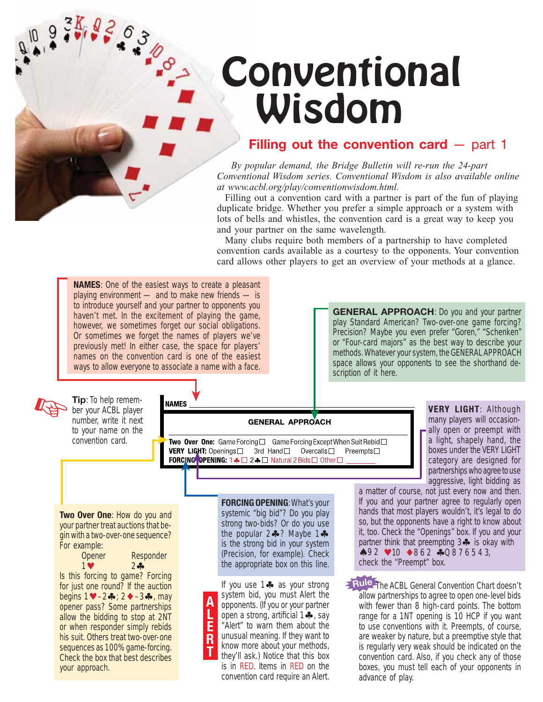# Conventional Wisdom

### **Filling out the convention card** — part 1

*By popular demand, the Bridge Bulletin will re-run the 24-part Conventional Wisdom series. Conventional Wisdom is also available online at www.acbl.org/play/conventionwisdom.html.*

Filling out a convention card with a partner is part of the fun of playing duplicate bridge. Whether you prefer a simple approach or a system with lots of bells and whistles, the convention card is a great way to keep you and your partner on the same wavelength.

Many clubs require both members of a partnership to have completed convention cards available as a courtesy to the opponents. Your convention card allows other players to get an overview of your methods at a glance.



know more about your methods,

they'll ask.) Notice that this box is in RED. Items in RED on the convention card require an Alert. **T**

his suit. Others treat two-over-one sequences as 100% game-forcing. Check the box that best describes your approach.

5368-

are weaker by nature, but a preemptive style that is regularly very weak should be indicated on the convention card. Also, if you check any of those boxes, you must tell each of your opponents in advance of play.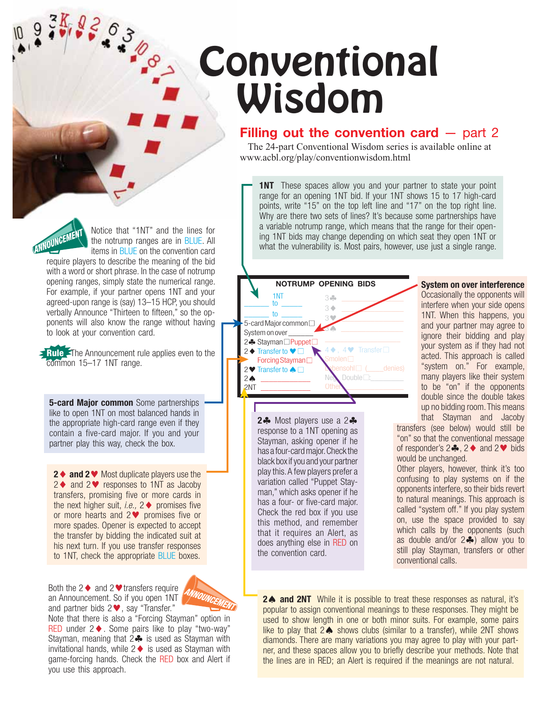# **Conventional** Wisdom

#### **Filling out the convention card – part 2**

The 24-part Conventional Wisdom series is available online at www.acbl.org/play/conventionwisdom.html

**1NT** These spaces allow you and your partner to state your point range for an opening 1NT bid. If your 1NT shows 15 to 17 high-card points, write "15" on the top left line and "17" on the top right line. Why are there two sets of lines? It's because some partnerships have a variable notrump range, which means that the range for their opening 1NT bids may change depending on which seat they open 1NT or what the vulnerability is. Most pairs, however, use just a single range.

➤ 1NT  $to$  $to$ 5-card Major common System on over 2♣ Stayman□Puppet 2  $\blacklozenge$  Transfer to  $\blacktriangledown$ Forcing Stayman<sup>1</sup> 2♥ Transfer to ▲□  $2 \spadesuit$  $\frac{2NT}{\sqrt{2}}$ 3- $\ddot{\phi}$  $3 \blacklozenge$ 3 \_\_\_\_\_\_\_\_\_\_\_\_\_\_\_  $34$ 4 **↓** 4 V Transfer  $Double \square$ : Other: \_\_\_\_\_\_\_\_\_\_\_\_\_\_ **NOTRUMP OPENING BIDS 2**- Most players use a 2 response to a 1NT opening as Stayman, asking opener if he has a four-card major. Check the black box if you and your partner play this. A few players prefer a variation called "Puppet Stayman," which asks opener if he has a four- or five-card major. Check the red box if you use this method, and remember that it requires an Alert, as does anything else in RED on the convention card. ➤  $\tilde{\blacktriangledown}$ ➤ ➤

**System on over interference** Occasionally the opponents will interfere when your side opens 1NT. When this happens, you and your partner may agree to ignore their bidding and play your system as if they had not acted. This approach is called "system on." For example, many players like their system to be "on" if the opponents double since the double takes up no bidding room. This means

that Stayman and Jacoby transfers (see below) would still be "on" so that the conventional message of responder's  $2\clubsuit$ ,  $2\spadesuit$  and  $2\heartsuit$  bids would be unchanged.

Other players, however, think it's too confusing to play systems on if the opponents interfere, so their bids revert to natural meanings. This approach is called "system off." If you play system on, use the space provided to say which calls by the opponents (such as double and/or  $2\clubsuit$ ) allow you to still play Stayman, transfers or other conventional calls.

**2. and 2NT** While it is possible to treat these responses as natural, it's popular to assign conventional meanings to these responses. They might be used to show length in one or both minor suits. For example, some pairs like to play that  $2 \spadesuit$  shows clubs (similar to a transfer), while  $2NT$  shows diamonds. There are many variations you may agree to play with your partner, and these spaces allow you to briefly describe your methods. Note that the lines are in RED; an Alert is required if the meanings are not natural.

Notice that "1NT" and the lines for ANNOUNCEN the notrump ranges are in BLUE. All items in BLUE on the convention card

38,82.03

require players to describe the meaning of the bid with a word or short phrase. In the case of notrump opening ranges, simply state the numerical range. For example, if your partner opens 1NT and your agreed-upon range is (say) 13–15 HCP, you should verbally Announce "Thirteen to fifteen," so the opponents will also know the range without having to look at your convention card.

**Rule** The Announcement rule applies even to the common 15–17 1NT range.

**5-card Major common** Some partnerships like to open 1NT on most balanced hands in the appropriate high-card range even if they contain a five-card major. If you and your partner play this way, check the box.

**2** ♦ **and 2** ■ Most duplicate players use the  $2 \blacklozenge$  and  $2 \blacktriangledown$  responses to 1NT as Jacoby transfers, promising five or more cards in the next higher suit, *i.e.*,  $2 \triangleleft$  promises five or more hearts and  $2 \blacktriangledown$  promises five or more spades. Opener is expected to accept the transfer by bidding the indicated suit at his next turn. If you use transfer responses to 1NT, check the appropriate BLUE boxes.



Both the  $2 \triangleleft$  and  $2 \triangleleft$  transfers require an Announcement. So if you open 1NT and partner bids  $2 \blacktriangledown$ , say "Transfer."

Note that there is also a "Forcing Stayman" option in RED under  $2 \triangleleft$ . Some pairs like to play "two-way" Stayman, meaning that 2 $\clubsuit$  is used as Stayman with invitational hands, while  $2 \triangleleft$  is used as Stayman with game-forcing hands. Check the RED box and Alert if you use this approach.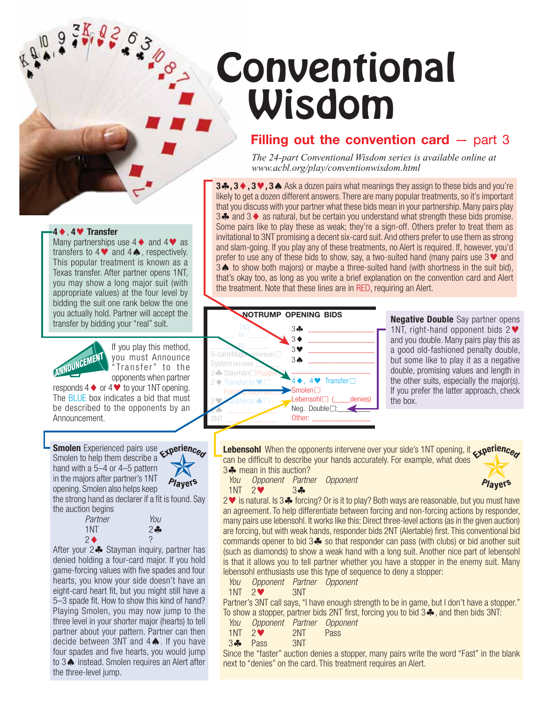# **Conventional** Wisdom

### **Filling out the convention card**  $-$  **part 3**

*The 24-part Conventional Wisdom series is available online at www.acbl.org/play/conventionwisdom.html*

**3♣, 3♦, 3♥, 3♦ Ask a dozen pairs what meanings they assign to these bids and you're** likely to get a dozen different answers. There are many popular treatments, so it's important that you discuss with your partner what these bids mean in your partnership. Many pairs play 3 $\clubsuit$  and 3 $\lozenge$  as natural, but be certain you understand what strength these bids promise. Some pairs like to play these as weak; they're a sign-off. Others prefer to treat them as invitational to 3NT promising a decent six-card suit. And others prefer to use them as strong and slam-going. If you play any of these treatments, no Alert is required. If, however, you'd prefer to use any of these bids to show, say, a two-suited hand (many pairs use  $3\blacktriangledown$  and 3 to show both majors) or maybe a three-suited hand (with shortness in the suit bid), that's okay too, as long as you write a brief explanation on the convention card and Alert the treatment. Note that these lines are in RED, requiring an Alert.



**Negative Double** Say partner opens 1NT, right-hand opponent bids  $2 \blacktriangledown$ and you double. Many pairs play this as a good old-fashioned penalty double, but some like to play it as a negative double, promising values and length in the other suits, especially the major(s). If you prefer the latter approach, check the box.

**Lebensohl** When the opponents intervene over your side's 1NT opening, it  $\epsilon_1$ **perience** can be difficult to describe your hands accurately. For example, what does 3- mean in this auction?

*You Opponent Partner Opponent*  $1NT$  2 $34$ 



Smolen to help them describe a hand with a 5–4 or 4–5 pattern in the majors after partner's 1NT Players opening. Smolen also helps keep the strong hand as declarer if a fit is found. Say the auction begins

**Smolen** Experienced pairs use

responds  $4 \blacklozenge$  or  $4 \blacktriangleright 4$  to your 1NT opening. The BLUE box indicates a bid that must be described to the opponents by an

**4**, **4 Transfer**

Announcement.

ANNOUNCEMENT

Many partnerships use  $4 \blacklozenge$  and  $4 \blacktriangledown$  as transfers to  $4 \blacktriangleright 4 \blacktriangleright 4 \blacktriangleright 4 \blacktriangleright 4 \blacktriangleright 5$ . respectively. This popular treatment is known as a Texas transfer. After partner opens 1NT, you may show a long major suit (with appropriate values) at the four level by bidding the suit one rank below the one you actually hold. Partner will accept the transfer by bidding your "real" suit.

> If you play this method, you must Announce "Transfer" to the opponents when partner

**PO - 10** 

| Partner          | You   |
|------------------|-------|
| 1NT              | $2 -$ |
| $2\blacklozenge$ |       |

After your 2 Stayman inquiry, partner has denied holding a four-card major. If you hold game-forcing values with five spades and four hearts, you know your side doesn't have an eight-card heart fit, but you might still have a 5–3 spade fit. How to show this kind of hand? Playing Smolen, you may now jump to the three level in your shorter major (hearts) to tell partner about your pattern. Partner can then decide between 3NT and  $4 \spadesuit$ . If you have four spades and five hearts, you would jump to  $3 \triangle$  instead. Smolen requires an Alert after the three-level jump.

2 V is natural. Is 3 ♣ forcing? Or is it to play? Both ways are reasonable, but you must have an agreement. To help differentiate between forcing and non-forcing actions by responder, many pairs use lebensohl. It works like this: Direct three-level actions (as in the given auction) are forcing, but with weak hands, responder bids 2NT (Alertable) first. This conventional bid commands opener to bid  $3\clubsuit$  so that responder can pass (with clubs) or bid another suit (such as diamonds) to show a weak hand with a long suit. Another nice part of lebensohl is that it allows you to tell partner whether you have a stopper in the enemy suit. Many lebensohl enthusiasts use this type of sequence to deny a stopper:

*You Opponent Partner Opponent*

 $1NT$  2 3NT

Partner's 3NT call says, "I have enough strength to be in game, but I don't have a stopper." To show a stopper, partner bids 2NT first, forcing you to bid 3. and then bids 3NT:

- *You Opponent Partner Opponent*
- $1NT$   $2V$   $2NT$  Pass  $3P$  Pass  $3NT$ 3- Pass 3NT

Since the "faster" auction denies a stopper, many pairs write the word "Fast" in the blank next to "denies" on the card. This treatment requires an Alert.